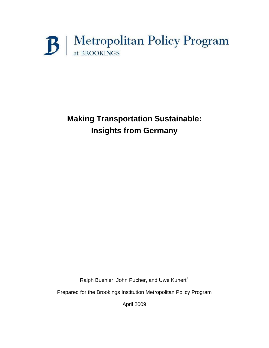# $\mathbf{B}$  | Metropolitan Policy Program

## **Making Transportation Sustainable: Insights from Germany**

Ralph Buehler, John Pucher, and Uwe Kunert<sup>[1](#page-37-0)</sup>

Prepared for the Brookings Institution Metropolitan Policy Program

April 2009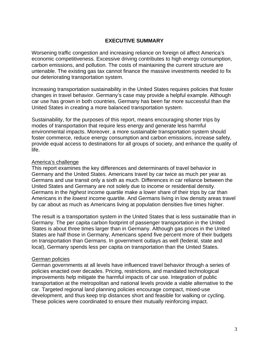#### **EXECUTIVE SUMMARY**

Worsening traffic congestion and increasing reliance on foreign oil affect America's economic competitiveness. Excessive driving contributes to high energy consumption, carbon emissions, and pollution. The costs of maintaining the current structure are untenable. The existing gas tax cannot finance the massive investments needed to fix our deteriorating transportation system.

Increasing transportation sustainability in the United States requires policies that foster changes in travel behavior. Germany's case may provide a helpful example. Although car use has grown in both countries, Germany has been far more successful than the United States in creating a more balanced transportation system.

Sustainability, for the purposes of this report, means encouraging shorter trips by modes of transportation that require less energy and generate less harmful environmental impacts. Moreover, a more sustainable transportation system should foster commerce, reduce energy consumption and carbon emissions, increase safety, provide equal access to destinations for all groups of society, and enhance the quality of life.

#### America's challenge

This report examines the key differences and determinants of travel behavior in Germany and the United States. Americans travel by car twice as much per year as Germans and use transit only a sixth as much. Differences in car reliance between the United States and Germany are not solely due to income or residential density. Germans in the *highest* income quartile make a lower share of their trips by car than Americans in the *lowest* income quartile. And Germans living in low density areas travel by car about as much as Americans living at population densities five times higher.

The result is a transportation system in the United States that is less sustainable than in Germany. The per capita carbon footprint of passenger transportation in the United States is about three times larger than in Germany. Although gas prices in the United States are half those in Germany, Americans spend five percent more of their budgets on transportation than Germans. In government outlays as well (federal, state and local), Germany spends less per capita on transportation than the United States.

#### German policies

German governments at all levels have influenced travel behavior through a series of policies enacted over decades. Pricing, restrictions, and mandated technological improvements help mitigate the harmful impacts of car use. Integration of public transportation at the metropolitan and national levels provide a viable alternative to the car. Targeted regional land planning policies encourage compact, mixed-use development, and thus keep trip distances short and feasible for walking or cycling. These policies were coordinated to ensure their mutually reinforcing impact.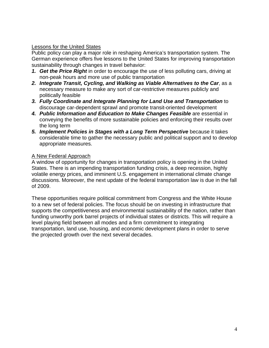#### Lessons for the United States

Public policy can play a major role in reshaping America's transportation system. The German experience offers five lessons to the United States for improving transportation sustainability through changes in travel behavior:

- *1. Get the Price Right* in order to encourage the use of less polluting cars, driving at non-peak hours and more use of public transportation
- *2. Integrate Transit, Cycling, and Walking as Viable Alternatives to the Car*, as a necessary measure to make any sort of car-restrictive measures publicly and politically feasible
- *3. Fully Coordinate and Integrate Planning for Land Use and Transportation* to discourage car-dependent sprawl and promote transit-oriented development
- *4. Public Information and Education to Make Changes Feasible* are essential in conveying the benefits of more sustainable policies and enforcing their results over the long term
- *5. Implement Policies in Stages with a Long Term Perspective* because it takes considerable time to gather the necessary public and political support and to develop appropriate measures.

#### A New Federal Approach

A window of opportunity for changes in transportation policy is opening in the United States. There is an impending transportation funding crisis, a deep recession, highly volatile energy prices, and imminent U.S. engagement in international climate change discussions. Moreover, the next update of the federal transportation law is due in the fall of 2009.

These opportunities require political commitment from Congress and the White House to a new set of federal policies. The focus should be on investing in infrastructure that supports the competitiveness and environmental sustainability of the nation, rather than funding unworthy pork barrel projects of individual states or districts. This will require a level playing field between all modes and a firm commitment to integrating transportation, land use, housing, and economic development plans in order to serve the projected growth over the next several decades.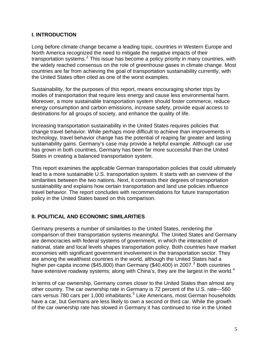#### **I. INTRODUCTION**

Long before climate change became a leading topic, countries in Western Europe and North America recognized the need to mitigate the negative impacts of their transportation systems.<sup>[2](#page-37-1)</sup> This issue has become a policy priority in many countries, with the widely reached consensus on the role of greenhouse gases in climate change. Most countries are far from achieving the goal of transportation sustainability currently, with the United States often cited as one of the worst examples.

Sustainability, for the purposes of this report, means encouraging shorter trips by modes of transportation that require less energy and cause less environmental harm. Moreover, a more sustainable transportation system should foster commerce, reduce energy consumption and carbon emissions, increase safety, provide equal access to destinations for all groups of society, and enhance the quality of life.

Increasing transportation sustainability in the United States requires policies that change travel behavior. While perhaps more difficult to achieve than improvements in technology, travel behavior change has the potential of reaping far greater and lasting sustainability gains. Germany's case may provide a helpful example. Although car use has grown in both countries, Germany has been far more successful than the United States in creating a balanced transportation system.

This report examines the applicable German transportation policies that could ultimately lead to a more sustainable U.S. transportation system. It starts with an overview of the similarities between the two nations. Next, it contrasts their degrees of transportation sustainability and explains how certain transportation and land use policies influence travel behavior. The report concludes with recommendations for future transportation policy in the United States based on this comparison.

#### **II. POLITICAL AND ECONOMIC SIMILARITIES**

Germany presents a number of similarities to the United States, rendering the comparison of their transportation systems meaningful. The United States and Germany are democracies with federal systems of government, in which the interaction of national, state and local levels shapes transportation policy. Both countries have market economies with significant government involvement in the transportation sector. They are among the wealthiest countries in the world, although the United States had a higher per-capita income (\$45,800) than Germany (\$40,400) in 2007.<sup>[3](#page-37-1)</sup> Both countries have extensive roadway systems; along with China's, they are the largest in the world.<sup>[4](#page-37-1)</sup>

In terms of car ownership, Germany comes closer to the United States than almost any other country. The car ownership rate in Germany is 72 percent of the U.S. rate—560 cars versus 780 cars per 1,000 inhabitants.<sup>[5](#page-37-1)</sup> Like Americans, most German households have a car, but Germans are less likely to own a second or third car. While the growth of the car ownership rate has slowed in Germany it has continued to rise in the United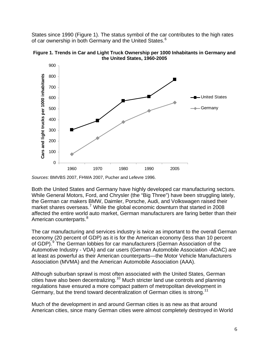States since 1990 (Figure 1). The status symbol of the car contributes to the high rates of car ownership in both Germany and the United States.<sup>[6](#page-37-1)</sup>



**Figure 1. Trends in Car and Light Truck Ownership per 1000 Inhabitants in Germany and the United States, 1960-2005**

Both the United States and Germany have highly developed car manufacturing sectors. While General Motors, Ford, and Chrysler (the "Big Three") have been struggling lately, the German car makers BMW, Daimler, Porsche, Audi, and Volkswagen raised their market shares overseas.<sup>[7](#page-37-1)</sup> While the global economic downturn that started in 2008 affected the entire world auto market, German manufacturers are faring better than their American counterparts.<sup>[8](#page-37-1)</sup>

The car manufacturing and services industry is twice as important to the overall German economy (20 percent of GDP) as it is for the American economy (less than 10 percent of GDP).<sup>[9](#page-37-1)</sup> The German lobbies for car manufacturers (German Association of the Automotive Industry - VDA) and car users (German Automobile Association -ADAC) are at least as powerful as their American counterparts—the Motor Vehicle Manufacturers Association (MVMA) and the American Automobile Association (AAA).

Although suburban sprawl is most often associated with the United States, German cities have also been decentralizing.[10](#page-37-1) Much stricter land use controls and planning regulations have ensured a more compact pattern of metropolitan development in Germany, but the trend toward decentralization of German cities is strong.<sup>[11](#page-37-1)</sup>

Much of the development in and around German cities is as new as that around American cities, since many German cities were almost completely destroyed in World

*Sources*: BMVBS 2007, FHWA 2007, Pucher and Lefevre 1996.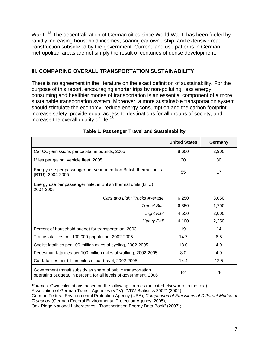War II.<sup>[12](#page-37-1)</sup> The decentralization of German cities since World War II has been fueled by rapidly increasing household incomes, soaring car ownership, and extensive road construction subsidized by the government. Current land use patterns in German metropolitan areas are not simply the result of centuries of dense development.

#### **III. COMPARING OVERALL TRANSPORTATION SUSTAINABILITY**

There is no agreement in the literature on the exact definition of sustainability. For the purpose of this report, encouraging shorter trips by non-polluting, less energy consuming and healthier modes of transportation is an essential component of a more sustainable transportation system. Moreover, a more sustainable transportation system should stimulate the economy, reduce energy consumption and the carbon footprint, increase safety, provide equal access to destinations for all groups of society, and increase the overall quality of life.<sup>[13](#page-37-1)</sup>

|                                                                                                                                   | <b>United States</b> | Germany |
|-----------------------------------------------------------------------------------------------------------------------------------|----------------------|---------|
| Car $CO2$ emissions per capita, in pounds, 2005                                                                                   | 8,600                | 2,900   |
| Miles per gallon, vehicle fleet, 2005                                                                                             | 20                   | 30      |
| Energy use per passenger per year, in million British thermal units<br>(BTU), 2004-2005                                           | 55                   | 17      |
| Energy use per passenger mile, in British thermal units (BTU),<br>2004-2005                                                       |                      |         |
| Cars and Light Trucks Average                                                                                                     | 6,250                | 3,050   |
| <b>Transit Bus</b>                                                                                                                | 6,850                | 1,700   |
| Light Rail                                                                                                                        | 4,550                | 2,000   |
| <b>Heavy Rail</b>                                                                                                                 | 4,100                | 2,250   |
| Percent of household budget for transportation, 2003                                                                              | 19                   | 14      |
| Traffic fatalities per 100,000 population, 2002-2005                                                                              | 14.7                 | 6.5     |
| Cyclist fatalities per 100 million miles of cycling, 2002-2005                                                                    | 18.0                 | 4.0     |
| Pedestrian fatalities per 100 million miles of walking, 2002-2005                                                                 | 8.0                  | 4.0     |
| Car fatalities per billion miles of car travel, 2002-2005                                                                         | 14.4                 | 12.5    |
| Government transit subsidy as share of public transportation<br>operating budgets, in percent, for all levels of government, 2006 | 62                   | 26      |

#### **Table 1. Passenger Travel and Sustainability**

*Sources:* Own calculations based on the following sources (not cited elsewhere in the text):

Association of German Transit Agencies (VDV), "VDV Statistics 2002" (2002);

German Federal Environmental Protection Agency (UBA), *Comparison of Emissions of Different Modes of Transport* (German Federal Environmental Protection Agency, 2005);

Oak Ridge National Laboratories, "Transportation Energy Data Book" (2007);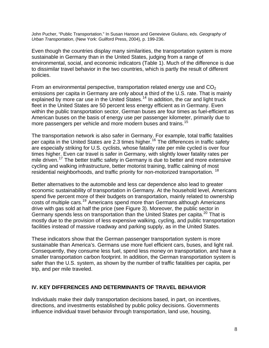John Pucher, "Public Transportation." In Susan Hanson and Genevieve Giuliano, eds. *Geography of Urban Transportation*, (New York: Guilford Press, 2004), p. 199-236.

Even though the countries display many similarities, the transportation system is more sustainable in Germany than in the United States, judging from a range of environmental, social, and economic indicators (Table 1). Much of the difference is due to dissimilar travel behavior in the two countries, which is partly the result of different policies.

From an environmental perspective, transportation related energy use and  $CO<sub>2</sub>$ emissions per capita in Germany are only about a third of the U.S. rate. That is mainly explained by more car use in the United States.<sup>[14](#page-37-1)</sup> In addition, the car and light truck fleet in the United States are 50 percent less energy efficient as in Germany. Even within the public transportation sector, German buses are four times as fuel-efficient as American buses on the basis of energy use per passenger kilometer, primarily due to more passengers per vehicle and more modern buses and trains.<sup>[15](#page-37-1)</sup>

The transportation network is also safer in Germany. For example, total traffic fatalities per capita in the United States are 2.3 times higher.<sup>[16](#page-37-1)</sup> The differences in traffic safety are especially striking for U.S. cyclists, whose fatality rate per mile cycled is over four times higher. Even car travel is safer in Germany, with slightly lower fatality rates per mile driven.<sup>[17](#page-37-1)</sup> The better traffic safety in Germany is due to better and more extensive cycling and walking infrastructure, better motorist training, traffic calming of most residential neighborhoods, and traffic priority for non-motorized transportation. [18](#page-37-1)

Better alternatives to the automobile and less car dependence also lead to greater economic sustainability of transportation in Germany. At the household level, Americans spend five percent more of their budgets on transportation, mainly related to ownership costs of multiple cars.[19](#page-37-1) Americans spend more than Germans although Americans drive with gas sold at half the price (see Figure 3). Moreover, the public sector in Germany spends less on transportation than the United States per capita.<sup>[20](#page-37-1)</sup> That is mostly due to the provision of less expensive walking, cycling, and public transportation facilities instead of massive roadway and parking supply, as in the United States.

These indicators show that the German passenger transportation system is more sustainable than America's. Germans use more fuel efficient cars, buses, and light rail. Consequently, they consume less fuel, spend less money on transportation, and have a smaller transportation carbon footprint. In addition, the German transportation system is safer than the U.S. system, as shown by the number of traffic fatalities per capita, per trip, and per mile traveled.

#### **IV. KEY DIFFERENCES AND DETERMINANTS OF TRAVEL BEHAVIOR**

Individuals make their daily transportation decisions based, in part, on incentives, directions, and investments established by public policy decisions. Governments influence individual travel behavior through transportation, land use, housing,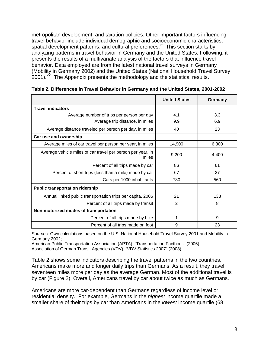metropolitan development, and taxation policies. Other important factors influencing travel behavior include individual demographic and socioeconomic characteristics, spatial development patterns, and cultural preferences.<sup>[21](#page-37-1)</sup> This section starts by analyzing patterns in travel behavior in Germany and the United States. Following, it presents the results of a multivariate analysis of the factors that influence travel behavior. Data employed are from the latest national travel surveys in Germany (Mobility in Germany 2002) and the United States (National Household Travel Survey  $2001$ .<sup>[22](#page-37-1)</sup> The Appendix presents the methodology and the statistical results.

|                                                                      | <b>United States</b> | Germany |
|----------------------------------------------------------------------|----------------------|---------|
| <b>Travel indicators</b>                                             |                      |         |
| Average number of trips per person per day                           | 4.1                  | 3.3     |
| Average trip distance, in miles                                      | 9.9                  | 6.9     |
| Average distance traveled per person per day, in miles               | 40                   | 23      |
| Car use and ownership                                                |                      |         |
| Average miles of car travel per person per year, in miles            | 14,900               | 6,800   |
| Average vehicle miles of car travel per person per year, in<br>miles | 9,200                | 4,400   |
| Percent of all trips made by car                                     | 86                   | 61      |
| Percent of short trips (less than a mile) made by car                | 67                   | 27      |
| Cars per 1000 inhabitants                                            | 780                  | 560     |
| <b>Public transportation ridership</b>                               |                      |         |
| Annual linked public transportation trips per capita, 2005           | 21                   | 133     |
| Percent of all trips made by transit                                 | $\overline{2}$       | 8       |
| Non-motorized modes of transportation                                |                      |         |
| Percent of all trips made by bike                                    | 1                    | 9       |
| Percent of all trips made on foot                                    | 9                    | 23      |

|  |  | Table 2. Differences in Travel Behavior in Germany and the United States, 2001-2002 |  |  |
|--|--|-------------------------------------------------------------------------------------|--|--|
|--|--|-------------------------------------------------------------------------------------|--|--|

*Sources:* Own calculations based on the U.S. National Household Travel Survey 2001 and Mobility in Germany 2002;

American Public Transportation Association (APTA), "Transportation Factbook" (2006); Association of German Transit Agencies (VDV), "VDV Statistics 2007" (2008)*.*

Table 2 shows some indicators describing the travel patterns in the two countries. Americans make more and longer daily trips than Germans. As a result, they travel seventeen miles more per day as the average German. Most of the additional travel is by car (Figure 2). Overall, Americans travel by car about twice as much as Germans.

Americans are more car-dependent than Germans regardless of income level or residential density. For example, Germans in the *highest* income quartile made a smaller share of their trips by car than Americans in the *lowest* income quartile (68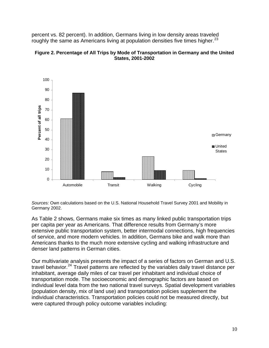percent vs. 82 percent). In addition, Germans living in low density areas traveled roughly the same as Americans living at population densities five times higher.<sup>[23](#page-37-1)</sup>





*Sources:* Own calculations based on the U.S. National Household Travel Survey 2001 and Mobility in Germany 2002.

As Table 2 shows, Germans make six times as many linked public transportation trips per capita per year as Americans. That difference results from Germany's more extensive public transportation system, better intermodal connections, high frequencies of service, and more modern vehicles. In addition, Germans bike and walk more than Americans thanks to the much more extensive cycling and walking infrastructure and denser land patterns in German cities.

Our multivariate analysis presents the impact of a series of factors on German and U.S. travel behavior.<sup>[24](#page-37-1)</sup> Travel patterns are reflected by the variables daily travel distance per inhabitant, average daily miles of car travel per inhabitant and individual choice of transportation mode. The socioeconomic and demographic factors are based on individual level data from the two national travel surveys. Spatial development variables (population density, mix of land use) and transportation policies supplement the individual characteristics. Transportation policies could not be measured directly, but were captured through policy outcome variables including: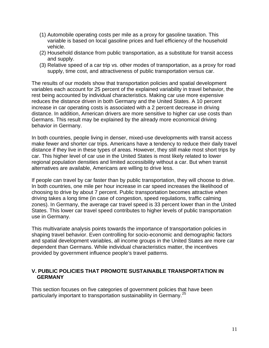- (1) Automobile operating costs per mile as a proxy for gasoline taxation. This variable is based on local gasoline prices and fuel efficiency of the household vehicle.
- (2) Household distance from public transportation, as a substitute for transit access and supply.
- (3) Relative speed of a car trip vs. other modes of transportation, as a proxy for road supply, time cost, and attractiveness of public transportation versus car.

The results of our models show that transportation policies and spatial development variables each account for 25 percent of the explained variability in travel behavior, the rest being accounted by individual characteristics. Making car use more expensive reduces the distance driven in both Germany and the United States. A 10 percent increase in car operating costs is associated with a 2 percent decrease in driving distance. In addition, American drivers are more sensitive to higher car use costs than Germans. This result may be explained by the already more economical driving behavior in Germany.

In both countries, people living in denser, mixed-use developments with transit access make fewer and shorter car trips. Americans have a tendency to reduce their daily travel distance if they live in these types of areas. However, they still make most short trips by car. This higher level of car use in the United States is most likely related to lower regional population densities and limited accessibility without a car. But when transit alternatives are available, Americans are willing to drive less.

If people can travel by car faster than by public transportation, they will choose to drive. In both countries, one mile per hour increase in car speed increases the likelihood of choosing to drive by about 7 percent. Public transportation becomes attractive when driving takes a long time (in case of congestion, speed regulations, traffic calming zones). In Germany, the average car travel speed is 33 percent lower than in the United States. This lower car travel speed contributes to higher levels of public transportation use in Germany.

This multivariate analysis points towards the importance of transportation policies in shaping travel behavior. Even controlling for socio-economic and demographic factors and spatial development variables, all income groups in the United States are more car dependent than Germans. While individual characteristics matter, the incentives provided by government influence people's travel patterns.

#### **V. PUBLIC POLICIES THAT PROMOTE SUSTAINABLE TRANSPORTATION IN GERMANY**

This section focuses on five categories of government policies that have been particularly important to transportation sustainability in Germany.<sup>[25](#page-37-1)</sup>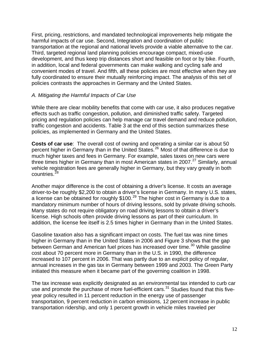First, pricing, restrictions, and mandated technological improvements help mitigate the harmful impacts of car use. Second, Integration and coordination of public transportation at the regional and national levels provide a viable alternative to the car. Third, targeted regional land planning policies encourage compact, mixed-use development, and thus keep trip distances short and feasible on foot or by bike. Fourth, in addition, local and federal governments can make walking and cycling safe and convenient modes of travel. And fifth, all these policies are most effective when they are fully coordinated to ensure their mutually reinforcing impact. The analysis of this set of policies contrasts the approaches in Germany and the United States.

#### *A. Mitigating the Harmful Impacts of Car Use*

While there are clear mobility benefits that come with car use, it also produces negative effects such as traffic congestion, pollution, and diminished traffic safety. Targeted pricing and regulation policies can help manage car travel demand and reduce pollution, traffic congestion and accidents. Table 3 at the end of this section summarizes these policies, as implemented in Germany and the United States.

**Costs of car use**: The overall cost of owning and operating a similar car is about 50 percent higher in Germany than in the United States.<sup>[26](#page-37-1)</sup> Most of that difference is due to much higher taxes and fees in Germany. For example, sales taxes on new cars were three times higher in Germany than in most American states in 2007.<sup>[27](#page-37-1)</sup> Similarly, annual vehicle registration fees are generally higher in Germany, but they vary greatly in both countries.<sup>[28](#page-37-1)</sup>

Another major difference is the cost of obtaining a driver's license. It costs an average driver-to-be roughly \$2,200 to obtain a driver's license in Germany. In many U.S. states, a license can be obtained for roughly  $$100.<sup>29</sup>$  $$100.<sup>29</sup>$  $$100.<sup>29</sup>$  The higher cost in Germany is due to a mandatory minimum number of hours of driving lessons, sold by private driving schools. Many states do not require obligatory on road driving lessons to obtain a driver's license. High schools often provide driving lessons as part of their curriculum. In addition, the license fee itself is 2.5 times higher in Germany than in the United States.

Gasoline taxation also has a significant impact on costs. The fuel tax was nine times higher in Germany than in the United States in 2006 and Figure 3 shows that the gap between German and American fuel prices has increased over time.<sup>[30](#page-37-1)</sup> While gasoline cost about 70 percent more in Germany than in the U.S. in 1990, the difference increased to 107 percent in 2006. That was partly due to an explicit policy of regular, annual increases in the gas tax in Germany between 1999 and 2003. The Green Party initiated this measure when it became part of the governing coalition in 1998.

The tax increase was explicitly designated as an environmental tax intended to curb car use and promote the purchase of more fuel-efficient cars. $31$  Studies found that this fiveyear policy resulted in 11 percent reduction in the energy use of passenger transportation, 9 percent reduction in carbon emissions, 12 percent increase in public transportation ridership, and only 1 percent growth in vehicle miles traveled per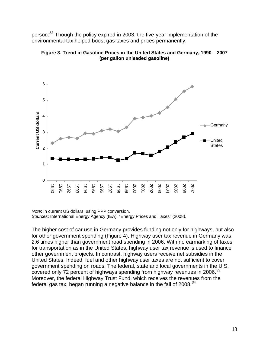person.<sup>[32](#page-37-1)</sup> Though the policy expired in 2003, the five-year implementation of the environmental tax helped boost gas taxes and prices permanently.





*Note*: In current US dollars, using PPP conversion. *Sources*: International Energy Agency (IEA), "Energy Prices and Taxes" (2008).

The higher cost of car use in Germany provides funding not only for highways, but also for other government spending (Figure 4). Highway user tax revenue in Germany was 2.6 times higher than government road spending in 2006. With no earmarking of taxes for transportation as in the United States, highway user tax revenue is used to finance other government projects. In contrast, highway users receive net subsidies in the United States. Indeed, fuel and other highway user taxes are not sufficient to cover government spending on roads. The federal, state and local governments in the U.S. covered only 72 percent of highways spending from highway revenues in 2006.<sup>[33](#page-37-1)</sup> Moreover, the federal Highway Trust Fund, which receives the revenues from the federal gas tax, began running a negative balance in the fall of  $2008.<sup>34</sup>$  $2008.<sup>34</sup>$  $2008.<sup>34</sup>$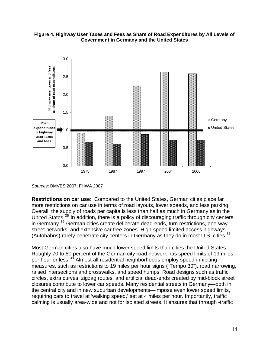

**Figure 4. Highway User Taxes and Fees as Share of Road Expenditures by All Levels of Government in Germany and the United States** 

**Restrictions on car use**: Compared to the United States, German cities place far more restrictions on car use in terms of road layouts, lower speeds, and less parking. Overall, the supply of roads per capita is less than half as much in Germany as in the United States.<sup>[35](#page-37-1)</sup> In addition, there is a policy of discouraging traffic through city centers in Germany.[36](#page-37-1) German cities create deliberate dead-ends, turn restrictions, one-way street networks, and extensive car free zones. High-speed limited access highways (Autobahns) rarely penetrate city centers in Germany as they do in most U.S. cities.<sup>[37](#page-37-1)</sup>

Most German cities also have much lower speed limits than cities the United States. Roughly 70 to 80 percent of the German city road network has speed limits of 19 miles per hour or less.<sup>[38](#page-37-1)</sup> Almost all residential neighborhoods employ speed-inhibiting measures, such as restrictions to 19 miles per hour signs ("Tempo 30"), road narrowing, raised intersections and crosswalks, and speed humps. Road designs such as traffic circles, extra curves, zigzag routes, and artificial dead-ends created by mid-block street closures contribute to lower car speeds. Many residential streets in Germany—both in the central city and in new suburban developments—impose even lower speed limits, requiring cars to travel at 'walking speed,' set at 4 miles per hour. Importantly, traffic calming is usually area-wide and not for isolated streets. It ensures that through -traffic

*Sources*: BMVBS 2007, FHWA 2007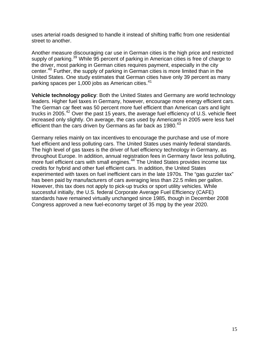uses arterial roads designed to handle it instead of shifting traffic from one residential street to another.

Another measure discouraging car use in German cities is the high price and restricted supply of parking.<sup>[39](#page-37-1)</sup> While 95 percent of parking in American cities is free of charge to the driver, most parking in German cities requires payment, especially in the city center.[40](#page-37-1) Further, the supply of parking in German cities is more limited than in the United States. One study estimates that German cities have only 39 percent as many parking spaces per 1,000 jobs as American cities.<sup>[41](#page-37-1)</sup>

**Vehicle technology policy**: Both the United States and Germany are world technology leaders. Higher fuel taxes in Germany, however, encourage more energy efficient cars. The German car fleet was 50 percent more fuel efficient than American cars and light trucks in 2005.<sup>[42](#page-37-1)</sup> Over the past 15 years, the average fuel efficiency of U.S. vehicle fleet increased only slightly. On average, the cars used by Americans in 2005 were less fuel efficient than the cars driven by Germans as far back as  $1980.<sup>43</sup>$  $1980.<sup>43</sup>$  $1980.<sup>43</sup>$ 

Germany relies mainly on tax incentives to encourage the purchase and use of more fuel efficient and less polluting cars. The United States uses mainly federal standards. The high level of gas taxes is the driver of fuel efficiency technology in Germany, as throughout Europe. In addition, annual registration fees in Germany favor less polluting, more fuel efficient cars with small engines.<sup>[44](#page-37-1)</sup> The United States provides income tax credits for hybrid and other fuel efficient cars. In addition, the United States experimented with taxes on fuel inefficient cars in the late 1970s. The "gas guzzler tax" has been paid by manufacturers of cars averaging less than 22.5 miles per gallon. However, this tax does not apply to pick-up trucks or sport utility vehicles. While successful initially, the U.S. federal Corporate Average Fuel Efficiency (CAFE) standards have remained virtually unchanged since 1985, though in December 2008 Congress approved a new fuel-economy target of 35 mpg by the year 2020.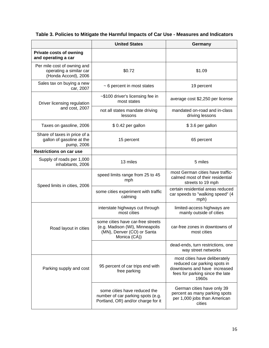|                                                                                | <b>United States</b>                                                                                               | Germany                                                                                                                                   |
|--------------------------------------------------------------------------------|--------------------------------------------------------------------------------------------------------------------|-------------------------------------------------------------------------------------------------------------------------------------------|
| <b>Private costs of owning</b><br>and operating a car                          |                                                                                                                    |                                                                                                                                           |
| Per mile cost of owning and<br>operating a similar car<br>(Honda Accord), 2006 | \$0.72                                                                                                             | \$1.09                                                                                                                                    |
| Sales tax on buying a new<br>car, 2007                                         | ~ 6 percent in most states                                                                                         | 19 percent                                                                                                                                |
| Driver licensing regulation                                                    | ~\$100 driver's licensing fee in<br>most states                                                                    | average cost \$2,250 per license                                                                                                          |
| and cost, 2007                                                                 | not all states mandate driving<br>lessons                                                                          | mandated on-road and in-class<br>driving lessons                                                                                          |
| Taxes on gasoline, 2006                                                        | \$0.42 per gallon                                                                                                  | \$3.6 per gallon                                                                                                                          |
| Share of taxes in price of a<br>gallon of gasoline at the<br>pump, 2006        | 15 percent                                                                                                         | 65 percent                                                                                                                                |
| <b>Restrictions on car use</b>                                                 |                                                                                                                    |                                                                                                                                           |
| Supply of roads per 1,000<br>inhabitants, 2006                                 | 13 miles                                                                                                           | 5 miles                                                                                                                                   |
| Speed limits in cities, 2006                                                   | speed limits range from 25 to 45<br>mph                                                                            | most German cities have traffic-<br>calmed most of their residential<br>streets to 19 mph                                                 |
|                                                                                | some cities experiment with traffic<br>calming                                                                     | certain residential areas reduced<br>car speeds to "walking speed" (4<br>mph)                                                             |
|                                                                                | interstate highways cut through<br>most cities                                                                     | limited-access highways are<br>mainly outside of cities                                                                                   |
| Road layout in cities                                                          | some cities have car-free streets<br>(e.g. Madison (WI), Minneapolis<br>(MN), Denver (CO) or Santa<br>Monica (CA)) | car-free zones in downtowns of<br>most cities                                                                                             |
|                                                                                |                                                                                                                    | dead-ends, turn restrictions, one<br>way street networks                                                                                  |
| Parking supply and cost                                                        | 95 percent of car trips end with<br>free parking                                                                   | most cities have deliberately<br>reduced car parking spots in<br>downtowns and have increased<br>fees for parking since the late<br>1960s |
|                                                                                | some cities have reduced the<br>number of car parking spots (e.g.<br>Portland, OR) and/or charge for it            | German cities have only 39<br>percent as many parking spots<br>per 1,000 jobs than American<br>cities                                     |

#### **Table 3. Policies to Mitigate the Harmful Impacts of Car Use - Measures and Indicators**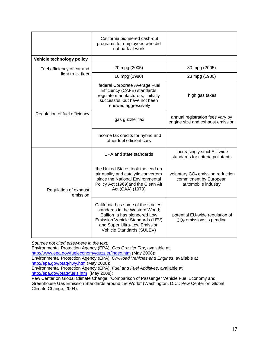|                                   | California pioneered cash-out<br>programs for employees who did<br>not park at work                                                                                                                      |                                                                                               |
|-----------------------------------|----------------------------------------------------------------------------------------------------------------------------------------------------------------------------------------------------------|-----------------------------------------------------------------------------------------------|
| Vehicle technology policy         |                                                                                                                                                                                                          |                                                                                               |
| Fuel efficiency of car and        | 20 mpg (2005)                                                                                                                                                                                            | 30 mpg (2005)                                                                                 |
| light truck fleet                 | 16 mpg (1980)                                                                                                                                                                                            | 23 mpg (1980)                                                                                 |
| Regulation of fuel efficiency     | federal Corporate Average Fuel<br>Efficiency (CAFE) standards<br>regulate manufacturers; initially<br>successful, but have not been<br>renewed aggressively                                              | high gas taxes                                                                                |
|                                   | gas guzzler tax                                                                                                                                                                                          | annual registration fees vary by<br>engine size and exhaust emission                          |
|                                   | income tax credits for hybrid and<br>other fuel efficient cars                                                                                                                                           |                                                                                               |
|                                   | EPA and state standards                                                                                                                                                                                  | increasingly strict EU wide<br>standards for criteria pollutants                              |
| Regulation of exhaust<br>emission | the United States took the lead on<br>air quality and catalytic converters<br>since the National Environmental<br>Policy Act (1969)and the Clean Air<br>Act (CAA) (1970)                                 | voluntary CO <sub>2</sub> emission reduction<br>commitment by European<br>automobile industry |
|                                   | California has some of the strictest<br>standards in the Western World;<br>California has pioneered Low<br>Emission Vehicle Standards (LEV)<br>and Super Ultra-Low Emission<br>Vehicle Standards (SULEV) | potential EU-wide regulation of<br>$CO2$ emissions is pending                                 |

*Sources not cited elsewhere in the text:* 

Environmental Protection Agency (EPA), *Gas Guzzler Tax*, available at

<http://www.epa.gov/fueleconomy/guzzler/index.htm>(May 2008);

Environmental Protection Agency (EPA), *On-Road Vehicles and Engines*, available at <http://epa.gov/otaq/hwy.htm>(May 2008);

Environmental Protection Agency (EPA), *Fuel and Fuel Additives*, available at <http://epa.gov/otaq/fuels.htm> (May 2008);

Pew Center on Global Climate Change, "Comparison of Passenger Vehicle Fuel Economy and Greenhouse Gas Emission Standards around the World" (Washington, D.C.: Pew Center on Global Climate Change, 2004).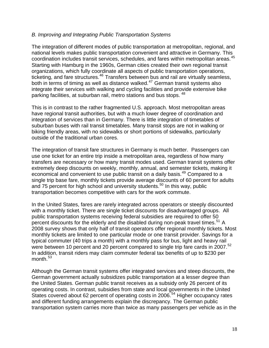#### *B. Improving and Integrating Public Transportation Systems*

The integration of different modes of public transportation at metropolitan, regional, and national levels makes public transportation convenient and attractive in Germany. This coordination includes transit services, schedules, and fares within metropolitan areas.[45](#page-37-1) Starting with Hamburg in the 1960s, German cities created their own regional transit organizations, which fully coordinate all aspects of public transportation operations, ticketing, and fare structures.<sup>[46](#page-37-1)</sup> Transfers between bus and rail are virtually seamless, both in terms of timing as well as distance walked.<sup>[47](#page-37-1)</sup> German transit systems also integrate their services with walking and cycling facilities and provide extensive bike parking facilities, at suburban rail, metro stations and bus stops, <sup>[48](#page-37-1)</sup>

This is in contrast to the rather fragmented U.S. approach. Most metropolitan areas have regional transit authorities, but with a much lower degree of coordination and integration of services than in Germany. There is little integration of timetables of suburban buses with rail transit timetables. Many transit stops are not in walking or biking friendly areas, with no sidewalks or short portions of sidewalks, particularly outside of the traditional urban cores.

The integration of transit fare structures in Germany is much better. Passengers can use one ticket for an entire trip inside a metropolitan area, regardless of how many transfers are necessary or how many transit modes used. German transit systems offer extremely deep discounts on weekly, monthly, annual, and semester tickets, making it economical and convenient to use public transit on a daily basis.<sup>[49](#page-37-1)</sup> Compared to a single trip base fare, monthly tickets provide average discounts of 60 percent for adults and 75 percent for high school and university students.<sup>[50](#page-37-1)</sup> In this way, public transportation becomes competitive with cars for the work commute.

In the United States, fares are rarely integrated across operators or steeply discounted with a monthly ticket. There are single ticket discounts for disadvantaged groups. All public transportation systems receiving federal subsidies are required to offer 50 percent discounts for the elderly and the disabled during non-peak travel times.<sup>[51](#page-37-1)</sup> A 2008 survey shows that only half of transit operators offer regional monthly tickets. Most monthly tickets are limited to one particular mode or one transit provider. Savings for a typical commuter (40 trips a month) with a monthly pass for bus, light and heavy rail were between 10 percent and 20 percent compared to single trip fare cards in 2007.<sup>[52](#page-37-1)</sup> In addition, transit riders may claim commuter federal tax benefits of up to \$230 per month.<sup>[53](#page-37-1)</sup>

Although the German transit systems offer integrated services and steep discounts, the German government actually subsidizes public transportation at a lesser degree than the United States. German public transit receives as a subsidy only 26 percent of its operating costs. In contrast, subsidies from state and local governments in the United States covered about 62 percent of operating costs in 2006.<sup>[54](#page-37-1)</sup> Higher occupancy rates and different funding arrangements explain the discrepancy. The German public transportation system carries more than twice as many passengers per vehicle as in the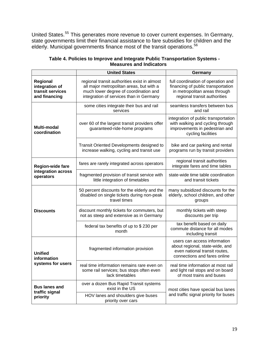United States.<sup>[55](#page-37-1)</sup> This generates more revenue to cover current expenses. In Germany, state governments limit their financial assistance to fare subsidies for children and the elderly. Municipal governments finance most of the transit operations.<sup>[56](#page-37-1)</sup>

|                                                                 | <b>United States</b>                                                                                                                                                         | Germany                                                                                                                                   |
|-----------------------------------------------------------------|------------------------------------------------------------------------------------------------------------------------------------------------------------------------------|-------------------------------------------------------------------------------------------------------------------------------------------|
| Regional<br>integration of<br>transit services<br>and financing | regional transit authorities exist in almost<br>all major metropolitan areas, but with a<br>much lower degree of coordination and<br>integration of services than in Germany | full coordination of operation and<br>financing of public transportation<br>in metropolitan areas through<br>regional transit authorities |
|                                                                 | some cities integrate their bus and rail<br>services                                                                                                                         | seamless transfers between bus<br>and rail                                                                                                |
| <b>Multi-modal</b><br>coordination                              | over 60 of the largest transit providers offer<br>guaranteed-ride-home programs                                                                                              | integration of public transportation<br>with walking and cycling through<br>improvements in pedestrian and<br>cycling facilities          |
|                                                                 | Transit Oriented Developments designed to<br>increase walking, cycling and transit use                                                                                       | bike and car parking and rental<br>programs run by transit providers                                                                      |
| <b>Region-wide fare</b>                                         | fares are rarely integrated across operators                                                                                                                                 | regional transit authorities<br>integrate fares and time tables                                                                           |
| integration across<br>operators                                 | fragmented provision of transit service with<br>little integration of timetables                                                                                             | state-wide time table coordination<br>and transit tickets                                                                                 |
|                                                                 | 50 percent discounts for the elderly and the<br>disabled on single tickets during non-peak<br>travel times                                                                   | many subsidized discounts for the<br>elderly, school children, and other<br>groups                                                        |
| <b>Discounts</b>                                                | discount monthly tickets for commuters, but<br>not as steep and extensive as in Germany                                                                                      | monthly tickets with steep<br>discounts per trip                                                                                          |
|                                                                 | federal tax benefits of up to \$230 per<br>month                                                                                                                             | tax benefit based on daily<br>commute distance for all modes<br>including transit                                                         |
| <b>Unified</b><br>information                                   | fragmented information provision                                                                                                                                             | users can access information<br>about regional, state-wide, and<br>even national transit routes.<br>connections and fares online          |
| systems for users                                               | real time information remains rare even on<br>some rail services; bus stops often even<br>lack timetables                                                                    | real time information at most rail<br>and light rail stops and on board<br>of most trains and buses                                       |
| <b>Bus lanes and</b>                                            | over a dozen Bus Rapid Transit systems<br>exist in the US                                                                                                                    | most cities have special bus lanes                                                                                                        |
| traffic signal<br>priority                                      | HOV lanes and shoulders give buses<br>priority over cars                                                                                                                     | and traffic signal priority for buses                                                                                                     |

#### **Table 4. Policies to Improve and Integrate Public Transportation Systems - Measures and Indicators**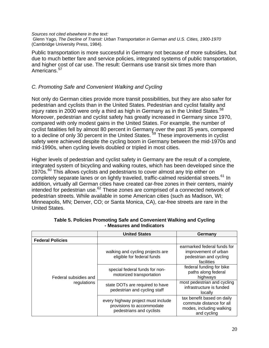#### *Sources not cited elsewhere in the text:*

 Glenn Yago, *The Decline of Transit: Urban Transportation in German and U.S. Cities, 1900-1970* (Cambridge University Press, 1984).

Public transportation is more successful in Germany not because of more subsidies, but due to much better fare and service policies, integrated systems of public transportation, and higher cost of car use. The result: Germans use transit six times more than Americans.<sup>[57](#page-37-1)</sup>

#### *C. Promoting Safe and Convenient Walking and Cycling*

Not only do German cities provide more transit possibilities, but they are also safer for pedestrian and cyclists than in the United States. Pedestrian and cyclist fatality and injury rates in 2000 were only a third as high in Germany as in the United States.<sup>[58](#page-37-1)</sup> Moreover, pedestrian and cyclist safety has greatly increased in Germany since 1970, compared with only modest gains in the United States. For example, the number of cyclist fatalities fell by almost 80 percent in Germany over the past 35 years, compared to a decline of only 30 percent in the United States.<sup>[59](#page-37-1)</sup> These improvements in cyclist safety were achieved despite the cycling boom in Germany between the mid-1970s and mid-1990s, when cycling levels doubled or tripled in most cities.

Higher levels of pedestrian and cyclist safety in Germany are the result of a complete, integrated system of bicycling and walking routes, which has been developed since the 1970s.<sup>[60](#page-37-1)</sup> This allows cyclists and pedestrians to cover almost any trip either on completely separate lanes or on lightly traveled, traffic-calmed residential streets.<sup>[61](#page-37-1)</sup> In addition, virtually all German cities have created car-free zones in their centers, mainly intended for pedestrian use. $62$  These zones are comprised of a connected network of pedestrian streets. While available in some American cities (such as Madison, WI; Minneapolis, MN; Denver, CO; or Santa Monica, CA), car-free streets are rare in the United States.

|                                      | <b>United States</b>                                                                        | Germany                                                                                           |
|--------------------------------------|---------------------------------------------------------------------------------------------|---------------------------------------------------------------------------------------------------|
| <b>Federal Policies</b>              |                                                                                             |                                                                                                   |
| Federal subsidies and<br>regulations | walking and cycling projects are<br>eligible for federal funds                              | earmarked federal funds for<br>improvement of urban<br>pedestrian and cycling<br>facilities       |
|                                      | special federal funds for non-<br>motorized transportation                                  | federal funding for bike<br>paths along federal<br>highways                                       |
|                                      | state DOTs are required to have<br>pedestrian and cycling staff                             | most pedestrian and cycling<br>infrastructure is funded<br>locally                                |
|                                      | every highway project must include<br>provisions to accommodate<br>pedestrians and cyclists | tax benefit based on daily<br>commute distance for all<br>modes, including walking<br>and cycling |

**Table 5. Policies Promoting Safe and Convenient Walking and Cycling - Measures and Indicators**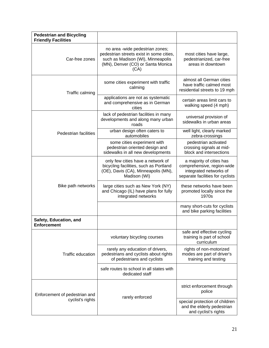| <b>Pedestrian and Bicycling</b><br><b>Friendly Facilities</b> |                                                                                                                                                               |                                                                                                                      |
|---------------------------------------------------------------|---------------------------------------------------------------------------------------------------------------------------------------------------------------|----------------------------------------------------------------------------------------------------------------------|
| Car-free zones                                                | no area -wide pedestrian zones;<br>pedestrian streets exist in some cities,<br>such as Madison (WI), Minneapolis<br>(MN), Denver (CO) or Santa Monica<br>(CA) | most cities have large,<br>pedestrianized, car-free<br>areas in downtown                                             |
| Traffic calming                                               | some cities experiment with traffic<br>calming                                                                                                                | almost all German cities<br>have traffic calmed most<br>residential streets to 19 mph                                |
|                                                               | applications are not as systematic<br>and comprehensive as in German<br>cities                                                                                | certain areas limit cars to<br>walking speed (4 mph)                                                                 |
|                                                               | lack of pedestrian facilities in many<br>developments and along many urban<br>roads                                                                           | universal provision of<br>sidewalks in urban areas                                                                   |
| Pedestrian facilities                                         | urban design often caters to<br>automobiles                                                                                                                   | well light, clearly marked<br>zebra-crossings                                                                        |
|                                                               | some cities experiment with<br>pedestrian oriented design and<br>sidewalks in all new developments                                                            | pedestrian activated<br>crossing signals at mid-<br>block and intersections                                          |
|                                                               | only few cities have a network of<br>bicycling facilities, such as Portland<br>(OE), Davis (CA), Minneapolis (MN),<br>Madison (WI)                            | a majority of cities has<br>comprehensive, region-wide<br>integrated networks of<br>separate facilities for cyclists |
| Bike path networks                                            | large cities such as New York (NY)<br>and Chicago (IL) have plans for fully<br>integrated networks                                                            | these networks have been<br>promoted locally since the<br>1970s                                                      |
|                                                               |                                                                                                                                                               | many short-cuts for cyclists<br>and bike parking facilities                                                          |
| Safety, Education, and<br><b>Enforcement</b>                  |                                                                                                                                                               |                                                                                                                      |
|                                                               | voluntary bicycling courses                                                                                                                                   | safe and effective cycling<br>training is part of school<br>curriculum                                               |
| <b>Traffic education</b>                                      | rarely any education of drivers,<br>pedestrians and cyclists about rights<br>of pedestrians and cyclists                                                      | rights of non-motorized<br>modes are part of driver's<br>training and testing                                        |
|                                                               | safe routes to school in all states with<br>dedicated staff                                                                                                   |                                                                                                                      |
| Enforcement of pedestrian and                                 | rarely enforced                                                                                                                                               | strict enforcement through<br>police                                                                                 |
| cyclist's rights                                              |                                                                                                                                                               | special protection of children<br>and the elderly pedestrian<br>and cyclist's rights                                 |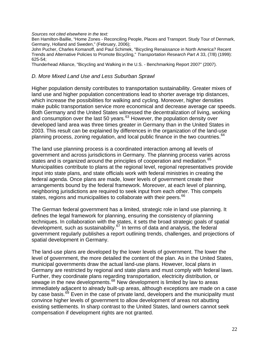*Sources not cited elsewhere in the text:* 

Ben Hamilton-Baillie, "Home Zones - Reconciling People, Places and Transport. Study Tour of Denmark, Germany, Holland and Sweden," (February, 2006);

John Pucher, Charles Komanoff, and Paul Schimek, "Bicycling Renaissance in North America? Recent Trends and Alternative Policies to Promote Bicycling," *Transportation Research Part A* 33, (7/8) (1999): 625-54;

Thunderhead Alliance, "Bicycling and Walking in the U.S. - Benchmarking Report 2007" (2007).

#### *D. More Mixed Land Use and Less Suburban Sprawl*

Higher population density contributes to transportation sustainability. Greater mixes of land use and higher population concentrations lead to shorter average trip distances, which increase the possibilities for walking and cycling. Moreover, higher densities make public transportation service more economical and decrease average car speeds. Both Germany and the United States witnessed the decentralization of living, working and consumption over the last 50 years. $63$  However, the population density over developed land area was three times greater in Germany than in the United States in 2003. This result can be explained by differences in the organization of the land-use planning process, zoning regulation, and local public finance in the two countries.<sup>[64](#page-37-1)</sup>

The land use planning process is a coordinated interaction among all levels of government and across jurisdictions in Germany. The planning process varies across states and is organized around the principles of cooperation and mediation.<sup>[65](#page-37-1)</sup> Municipalities contribute to plans at the regional level, regional representatives provide input into state plans, and state officials work with federal ministries in creating the federal agenda. Once plans are made, lower levels of government create their arrangements bound by the federal framework. Moreover, at each level of planning, neighboring jurisdictions are required to seek input from each other. This compels states, regions and municipalities to collaborate with their peers.<sup>[66](#page-37-1)</sup>

The German federal government has a limited, strategic role in land use planning. It defines the legal framework for planning, ensuring the consistency of planning techniques. In collaboration with the states, it sets the broad strategic goals of spatial development, such as sustainability. $67$  In terms of data and analysis, the federal government regularly publishes a report outlining trends, challenges, and projections of spatial development in Germany.

The land-use plans are developed by the lower levels of government. The lower the level of government, the more detailed the content of the plan. As in the United States, municipal governments draw the actual land-use plans. However, local plans in Germany are restricted by regional and state plans and must comply with federal laws. Further, they coordinate plans regarding transportation, electricity distribution, or sewage in the new developments.<sup>[68](#page-37-1)</sup> New development is limited by law to areas immediately adjacent to already built-up areas, although exceptions are made on a case by case basis.<sup>[69](#page-37-1)</sup> Even in the case of private land, developers and the municipality must convince higher levels of government to allow development of areas not abutting existing settlements. In sharp contrast to the United States, land owners cannot seek compensation if development rights are not granted.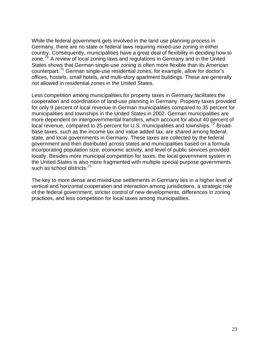While the federal government gets involved in the land use planning process in Germany, there are no state or federal laws requiring mixed-use zoning in either country. Consequently, municipalities have a great deal of flexibility in deciding how to zone. $70$  A review of local zoning laws and regulations in Germany and in the United States shows that German single-use zoning is often more flexible than its American counterpart.[71](#page-37-1) German single-use residential zones, for example, allow for doctor's offices, hostels, small hotels, and multi-story apartment buildings. These are generally not allowed in residential zones in the United States.

Less competition among municipalities for property taxes in Germany facilitates the cooperation and coordination of land-use planning in Germany. Property taxes provided for only 9 percent of local revenue in German municipalities compared to 35 percent for municipalities and townships in the United States in 2002. German municipalities are more dependent on intergovernmental transfers, which account for about 40 percent of local revenue, compared to 25 percent for U.S. municipalities and townships.<sup>[72](#page-37-1)</sup> Broadbase taxes, such as the income tax and value added tax, are shared among federal, state, and local governments in Germany. These taxes are collected by the federal government and then distributed across states and municipalities based on a formula incorporating population size, economic activity, and level of public services provided locally. Besides more municipal competition for taxes, the local government system in the United States is also more fragmented with multiple special purpose governments such as school districts.<sup>[73](#page-37-1)</sup>

The key to more dense and mixed-use settlements in Germany lies in a higher level of vertical and horizontal cooperation and interaction among jurisdictions, a strategic role of the federal government, stricter control of new developments, differences in zoning practices, and less competition for local taxes among municipalities.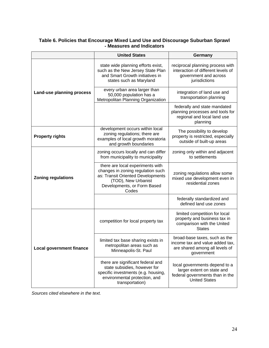| Table 6. Policies that Encourage Mixed Land Use and Discourage Suburban Sprawl |  |
|--------------------------------------------------------------------------------|--|
| - Measures and Indicators                                                      |  |

|                                 | <b>United States</b>                                                                                                                                                      | Germany                                                                                                                |
|---------------------------------|---------------------------------------------------------------------------------------------------------------------------------------------------------------------------|------------------------------------------------------------------------------------------------------------------------|
|                                 | state wide planning efforts exist,<br>such as the New Jersey State Plan<br>and Smart Growth initiatives in<br>states such as Maryland                                     | reciprocal planning process with<br>interaction of different levels of<br>government and across<br>jurisdictions       |
| Land-use planning process       | every urban area larger than<br>50,000 population has a<br>Metropolitan Planning Organization                                                                             | integration of land use and<br>transportation planning                                                                 |
|                                 |                                                                                                                                                                           | federally and state mandated<br>planning processes and tools for<br>regional and local land use<br>planning            |
| <b>Property rights</b>          | development occurs within local<br>zoning regulations; there are<br>examples of local growth moratoria<br>and growth boundaries                                           | The possibility to develop<br>property is restricted, especially<br>outside of built-up areas                          |
| <b>Zoning regulations</b>       | zoning occurs locally and can differ<br>from municipality to municipality                                                                                                 | zoning only within and adjacent<br>to settlements                                                                      |
|                                 | there are local experiments with<br>changes in zoning regulation such<br>as: Transit Oriented Developments<br>(TOD), New Urbanist<br>Developments, or Form Based<br>Codes | zoning regulations allow some<br>mixed use development even in<br>residential zones                                    |
|                                 |                                                                                                                                                                           | federally standardized and<br>defined land use zones                                                                   |
|                                 | competition for local property tax                                                                                                                                        | limited competition for local<br>property and business tax in<br>comparison with the United<br><b>States</b>           |
| <b>Local government finance</b> | limited tax base sharing exists in<br>metropolitan areas such as<br>Minneapolis-St. Paul                                                                                  | broad-base taxes, such as the<br>income tax and value added tax,<br>are shared among all levels of<br>government       |
|                                 | there are significant federal and<br>state subsidies, however for<br>specific investments (e.g. housing,<br>environmental protection, and<br>transportation)              | local governments depend to a<br>larger extent on state and<br>federal governments than in the<br><b>United States</b> |

*Sources cited elsewhere in the text.*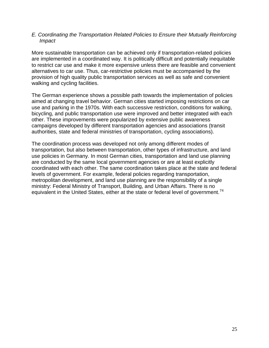#### *E. Coordinating the Transportation Related Policies to Ensure their Mutually Reinforcing Impact*

More sustainable transportation can be achieved only if transportation-related policies are implemented in a coordinated way. It is politically difficult and potentially inequitable to restrict car use and make it more expensive unless there are feasible and convenient alternatives to car use. Thus, car-restrictive policies must be accompanied by the provision of high quality public transportation services as well as safe and convenient walking and cycling facilities.

The German experience shows a possible path towards the implementation of policies aimed at changing travel behavior. German cities started imposing restrictions on car use and parking in the 1970s. With each successive restriction, conditions for walking, bicycling, and public transportation use were improved and better integrated with each other. These improvements were popularized by extensive public awareness campaigns developed by different transportation agencies and associations (transit authorities, state and federal ministries of transportation, cycling associations).

The coordination process was developed not only among different modes of transportation, but also between transportation, other types of infrastructure, and land use policies in Germany. In most German cities, transportation and land use planning are conducted by the same local government agencies or are at least explicitly coordinated with each other. The same coordination takes place at the state and federal levels of government. For example, federal policies regarding transportation, metropolitan development, and land use planning are the responsibility of a single ministry: Federal Ministry of Transport, Building, and Urban Affairs. There is no equivalent in the United States, either at the state or federal level of government.<sup>[74](#page-37-1)</sup>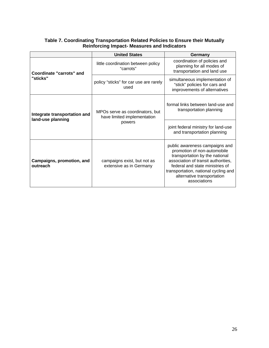|                                                   | <b>United States</b>                                                     | Germany                                                                                                                                                                                                                                                         |
|---------------------------------------------------|--------------------------------------------------------------------------|-----------------------------------------------------------------------------------------------------------------------------------------------------------------------------------------------------------------------------------------------------------------|
| Coordinate "carrots" and<br>"sticks"              | little coordination between policy<br>"carrots"                          | coordination of policies and<br>planning for all modes of<br>transportation and land use                                                                                                                                                                        |
|                                                   | policy "sticks" for car use are rarely<br>used                           | simultaneous implementation of<br>"stick" policies for cars and<br>improvements of alternatives                                                                                                                                                                 |
| Integrate transportation and<br>land-use planning | MPOs serve as coordinators, but<br>have limited implementation<br>powers | formal links between land-use and<br>transportation planning                                                                                                                                                                                                    |
|                                                   |                                                                          | joint federal ministry for land-use<br>and transportation planning                                                                                                                                                                                              |
| Campaigns, promotion, and<br>outreach             | campaigns exist, but not as<br>extensive as in Germany                   | public awareness campaigns and<br>promotion of non-automobile<br>transportation by the national<br>association of transit authorities,<br>federal and state ministries of<br>transportation, national cycling and<br>alternative transportation<br>associations |

#### **Table 7. Coordinating Transportation Related Policies to Ensure their Mutually Reinforcing Impact- Measures and Indicators**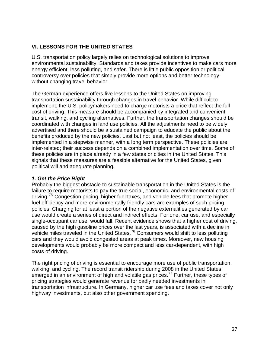#### **VI. LESSONS FOR THE UNITED STATES**

U.S. transportation policy largely relies on technological solutions to improve environmental sustainability. Standards and taxes provide incentives to make cars more energy efficient, less polluting, and safer. There is little public opposition or political controversy over policies that simply provide more options and better technology without changing travel behavior.

The German experience offers five lessons to the United States on improving transportation sustainability through changes in travel behavior. While difficult to implement, the U.S. policymakers need to charge motorists a price that reflect the full cost of driving. This measure should be accompanied by integrated and convenient transit, walking, and cycling alternatives. Further, the transportation changes should be coordinated with changes in land use policies. All the adjustments need to be widely advertised and there should be a sustained campaign to educate the public about the benefits produced by the new policies. Last but not least, the policies should be implemented in a stepwise manner, with a long term perspective. These policies are inter-related; their success depends on a combined implementation over time. Some of these policies are in place already in a few states or cities in the United States. This signals that these measures are a feasible alternative for the United States, given political will and adequate planning.

#### *1. Get the Price Right*

Probably the biggest obstacle to sustainable transportation in the United States is the failure to require motorists to pay the true social, economic, and environmental costs of driving.<sup>[75](#page-37-1)</sup> Congestion pricing, higher fuel taxes, and vehicle fees that promote higher fuel efficiency and more environmentally friendly cars are examples of such pricing policies. Charging for at least a portion of the negative externalities generated by car use would create a series of direct and indirect effects. For one, car use, and especially single-occupant car use, would fall. Recent evidence shows that a higher cost of driving, caused by the high gasoline prices over the last years, is associated with a decline in vehicle miles traveled in the United States.<sup>[76](#page-37-1)</sup> Consumers would shift to less polluting cars and they would avoid congested areas at peak times. Moreover, new housing developments would probably be more compact and less car-dependent, with high costs of driving.

The right pricing of driving is essential to encourage more use of public transportation, walking, and cycling. The record transit ridership during 2008 in the United States emerged in an environment of high and volatile gas prices.<sup>[77](#page-37-1)</sup> Further, these types of pricing strategies would generate revenue for badly needed investments in transportation infrastructure. In Germany, higher car use fees and taxes cover not only highway investments, but also other government spending.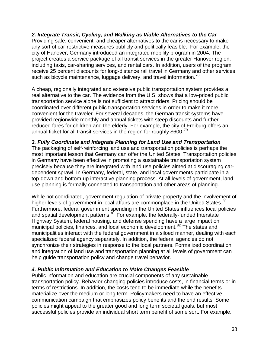*2. Integrate Transit, Cycling, and Walking as Viable Alternatives to the Car*  Providing safe, convenient, and cheaper alternatives to the car is necessary to make any sort of car-restrictive measures publicly and politically feasible. For example, the city of Hanover, Germany introduced an integrated mobility program in 2004. The project creates a service package of all transit services in the greater Hanover region, including taxis, car-sharing services, and rental cars. In addition, users of the program receive 25 percent discounts for long-distance rail travel in Germany and other services such as bicycle maintenance, luggage delivery, and travel information.<sup>[78](#page-37-1)</sup>

A cheap, regionally integrated and extensive public transportation system provides a real alternative to the car. The evidence from the U.S. shows that a low-priced public transportation service alone is not sufficient to attract riders. Pricing should be coordinated over different public transportation services in order to make it more convenient for the traveler. For several decades, the German transit systems have provided regionwide monthly and annual tickets with steep discounts and further reduced fares for children and the elderly. For example, the city of Freiburg offers an annual ticket for all transit services in the region for roughly  $$600.<sup>79</sup>$  $$600.<sup>79</sup>$  $$600.<sup>79</sup>$ 

#### *3. Fully Coordinate and Integrate Planning for Land Use and Transportation*

The packaging of self-reinforcing land use and transportation policies is perhaps the most important lesson that Germany can offer the United States. Transportation policies in Germany have been effective in promoting a sustainable transportation system precisely because they are integrated with land use policies aimed at discouraging cardependent sprawl. In Germany, federal, state, and local governments participate in a top-down and bottom-up interactive planning process. At all levels of government, landuse planning is formally connected to transportation and other areas of planning.

While not coordinated, government regulation of private property and the involvement of higher levels of government in local affairs are commonplace in the United States.<sup>[80](#page-37-1)</sup> Furthermore, federal government spending in the United States influences local policies and spatial development patterns.<sup>[81](#page-37-1)</sup> For example, the federally-funded Interstate Highway System, federal housing, and defense spending have a large impact on municipal policies, finances, and local economic development.<sup>[82](#page-37-1)</sup> The states and municipalities interact with the federal government in a siloed manner, dealing with each specialized federal agency separately. In addition, the federal agencies do not synchronize their strategies in response to the local partners. Formalized coordination and integration of land use and transportation planning at all levels of government can help guide transportation policy and change travel behavior.

#### *4. Public Information and Education to Make Changes Feasible*

Public information and education are crucial components of any sustainable transportation policy. Behavior-changing policies introduce costs, in financial terms or in terms of restrictions. In addition, the costs tend to be immediate while the benefits materialize over the medium or long term. Policymakers need to have an effective communication campaign that emphasizes policy benefits and the end results. Some policies might appeal to the greater good and long term societal goals, but most successful policies provide an individual short term benefit of some sort. For example,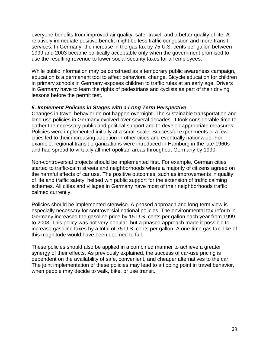everyone benefits from improved air quality, safer travel, and a better quality of life. A relatively immediate positive benefit might be less traffic congestion and more transit services. In Germany, the increase in the gas tax by 75 U.S. cents per gallon between 1999 and 2003 became politically acceptable only when the government promised to use the resulting revenue to lower social security taxes for all employees.

While public information may be construed as a temporary public awareness campaign, education is a permanent tool to affect behavioral change. Bicycle education for children in primary schools in Germany exposes children to traffic rules at an early age. Drivers in Germany have to learn the rights of pedestrians and cyclists as part of their driving lessons before the permit test.

#### *5. Implement Policies in Stages with a Long Term Perspective*

Changes in travel behavior do not happen overnight. The sustainable transportation and land use policies in Germany evolved over several decades. It took considerable time to gather the necessary public and political support and to develop appropriate measures. Policies were implemented initially at a small scale. Successful experiments in a few cities led to their increasing adoption in other cities and eventually nationwide. For example, regional transit organizations were introduced in Hamburg in the late 1960s and had spread to virtually all metropolitan areas throughout Germany by 1990.

Non-controversial projects should be implemented first. For example, German cities started to traffic-calm streets and neighborhoods where a majority of citizens agreed on the harmful effects of car use. The positive outcomes, such as improvements in quality of life and traffic safety, helped win public support for the extension of traffic calming schemes. All cities and villages in Germany have most of their neighborhoods traffic calmed currently.

Policies should be implemented stepwise. A phased approach and long-term view is especially necessary for controversial national policies. The environmental tax reform in Germany increased the gasoline price by 15 U.S. cents per gallon each year from 1999 to 2003. This policy was not very popular, but a phased approach made it possible to increase gasoline taxes by a total of 75 U.S. cents per gallon. A one-time gas tax hike of this magnitude would have been doomed to fail.

These policies should also be applied in a combined manner to achieve a greater synergy of their effects. As previously explained, the success of car-use pricing is dependent on the availability of safe, convenient, and cheaper alternatives to the car. The joint implementation of these policies may lead to a tipping point in travel behavior, when people may decide to walk, bike, or use transit.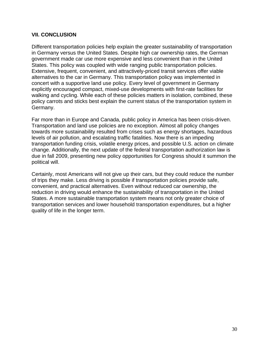#### **VII. CONCLUSION**

Different transportation policies help explain the greater sustainability of transportation in Germany versus the United States. Despite high car ownership rates, the German government made car use more expensive and less convenient than in the United States. This policy was coupled with wide ranging public transportation policies. Extensive, frequent, convenient, and attractively-priced transit services offer viable alternatives to the car in Germany. This transportation policy was implemented in concert with a supportive land use policy. Every level of government in Germany explicitly encouraged compact, mixed-use developments with first-rate facilities for walking and cycling. While each of these policies matters in isolation, combined, these policy carrots and sticks best explain the current status of the transportation system in Germany.

Far more than in Europe and Canada, public policy in America has been crisis-driven. Transportation and land use policies are no exception. Almost all policy changes towards more sustainability resulted from crises such as energy shortages, hazardous levels of air pollution, and escalating traffic fatalities. Now there is an impeding transportation funding crisis, volatile energy prices, and possible U.S. action on climate change. Additionally, the next update of the federal transportation authorization law is due in fall 2009, presenting new policy opportunities for Congress should it summon the political will.

Certainly, most Americans will not give up their cars, but they could reduce the number of trips they make. Less driving is possible if transportation policies provide safe, convenient, and practical alternatives. Even without reduced car ownership, the reduction in driving would enhance the sustainability of transportation in the United States. A more sustainable transportation system means not only greater choice of transportation services and lower household transportation expenditures, but a higher quality of life in the longer term.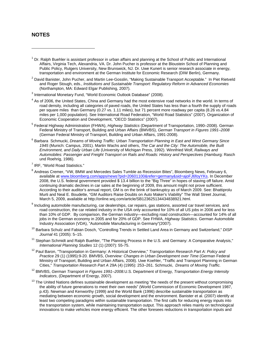#### **NOTES**

 $\overline{a}$ 

- <sup>2</sup> David Banister, John Pucher, and Martin Lee-Gosslin, "Making Sustainable Transport Acceptable." In Piet Rietveld and Roger Stough, eds., *Institutions and Sustainable Transport: Regulatory Reform in Advanced Economies* (Northampton, MA: Edward Elgar Publishing, 2007).
- <sup>3</sup> International Monetary Fund, "World Economic Outlook Database" (2008).
- $<sup>4</sup>$  As of 2006, the United States, China and Germany had the most extensive road networks in the world. In terms of</sup> road density, including all categories of paved roads, the United States has less than a fourth the supply of roads per square miles than Germany (0.27 vs. 1.11 miles), but 71 percent more roadway per capita (8.26 vs.4.84 miles per 1,000 population). See International Road Federation, "World Road Statistics" (2007). Organization of Economic Cooperation and Development, "OECD Statistics" (2007).
- 5 Federal Highway Administration (FHWA), *Highway Statistics* (Department of Transportation, 1990–2008). German Federal Ministry of Transport, Building and Urban Affairs (BMVBS), *German Transport in Figures 1991–2008*  (German Federal Ministry of Transport, Building and Urban Affairs, 1991-2008).
- 6 Barbara Schmucki, *Dreams of Moving Traffic: Urban Transportation Planning in East and West Germany Since 1945* (Munich: Campus, 2001). Martin Wachs and others, *The Car and the City: The Automobile, the Built Environment, and Daily Urban Life* (University of Michigan Press, 1992). Winnfried Wolf, *Railways and Automobiles: Passenger and Freight Transport on Rails and Roads: History and Perspectives* (Hamburg: Rasch und Roehrig, 1986).
- <sup>7</sup> IRF, "World Road Statistics."
- $^8$  Andreas Cremer, "VW, BMW and Mercedes Sales Tumble as Recession Bites", Bloomberg News, February 6, available at www.bloomberg.com/apps/news?pid=20601100&refer=germany&sid=ajoFJ6foyYKs. In December 2008, the U.S. federal government provided \$ 13.4 billion to the "Big Three" in hopes of staving off failure. Amid continuing dramatic declines in car sales at the beginning of 2009, this amount might not prove sufficient. According to their auditor's annual report, GM is on the brink of bankruptcy as of March 2009. See: Bhattiprolu Murti and Neal E. Boudette, "GM Auditors Raise Doubts on Auto Maker's Viability" The Wall Street Journal, March 5, 2009, available at http://online.wsj.com/article/SB123625134434838921.html.
- $9$  Including automobile manufacturing, car dealerships, car repairs, gas stations, assorted car travel services, and road construction, the car related industry in the USA only accounted for 10% of all US jobs in 2006 and for less than 10% of GDP. By comparison, the German industry—excluding road construction—accounted for 14% of all jobs in the German economy in 2005 and for 20% of GDP. See FHWA, *Highway Statistics*. German Automobile Industry Association (VDA), "Automobile Manufacturing in Germany"(2007).
- 10 Barbara Schulz and Fabian Dosch, "Controlling Trends in Settled Land Area in Germany and Switzerland," *DISP Journal* 41 (2005): 5–15.
- <sup>11</sup> Stephan Schmidt and Ralph Buehler, "The Planning Process in the U.S. and Germany: A Comparative Analysis," *International Planning Studies* 12 (1) (2007): 55-75.
- 12 Paul Baron, "Transportation in Germany: A Historical Overview," *Transportation Research Part A: Policy and Practice* 29 (1) (1995):9-20. BMVBS, *Overview: Changes in Urban Development over Time* (German Federal Ministry of Transport, Building and Urban Affairs, 2008). Uwe Koehler, "Traffic and Transport Planning in German Cities," *Transportation Research Part A* 29A (4) (1995): 253–261. Schmucki, *Dreams of Moving Traffic.*
- 12 BMVBS, *German Transport in Figures 1991–2008.*U.S. Department of Energy, *Transportation Energy Intensity Indicators*, (Department of Energy, 2007).
- $13$  The United Nations defines sustainable development as meeting "the needs of the present without compromising the ability of future generations to meet their own needs" (World Commission of Economic Development 1987, p.43). Newman and Kenworthy (1999) and the World Bank (1996) describe sustainable transportation as mediating between economic growth, social development and the environment. Banister et al. (2007) identify at least two competing paradigms within sustainable transportation. The first calls for reducing energy inputs into the transportation system, while maintaining transportation output. This approach relies mainly on technological innovations to make vehicles more energy efficient. The other foresees reductions in transportation inputs and

<sup>&</sup>lt;sup>1</sup> Dr. Ralph Buehler is assistant professor in urban affairs and planning at the School of Public and International Affairs, Virginia Tech, Alexandria, VA. Dr. John Pucher is professor at the Bloustein School of Planning and Public Policy, Rutgers University, New Brunswick, NJ, Dr. Uwe Kunert is senior research associate in energy, transportation and environment at the German Institute for Economic Research (DIW Berlin), Germany.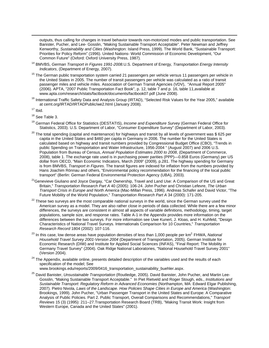outputs, thus calling for changes in travel behavior towards non-motorized modes and public transportation. See Banister, Pucher, and Lee- Gosslin, "Making Sustainable Transport Acceptable". Peter Newman and Jeffrey Kenworthy, *Sustainability and Cities* (Washington: Island Press, 1999). The World Bank, "Sustainable Transport: Priorities for Policy Reform" (1996). United Nations- World Commission of Economic Development, "Our Common Future" (Oxford: Oxford University Press, 1987).

- 14 BMVBS, *German Transport in Figures 1991-2008.*U.S. Department of Energy, *Transportation Energy Intensity Indicators*, (Department of Energy, 2007).
- <sup>15</sup> The German public transportation system carried 21 passengers per vehicle versus 11 passengers per vehicle in the United States in 2005. The number of transit passengers per vehicle was calculated as a ratio of transit passenger miles and vehicle miles. Association of German Transit Agencies (VDV), "Annual Report 2005" (2006). APTA, "2007 Public Transportation Fact Book", p. 12, table 7 and p. 16, table 11,available at www.apta.com/research/stats/factbook/documents/factbook07.pdf (June 2008).
- <sup>16</sup> International Traffic Safety Data and Analysis Group (IRTAD), "Selected Risk Values for the Year 2005," available at cemt.org/IRTAD/IRTADPublic/we2.html (January 2008).

 $\overline{a}$ 

- <sup>18</sup> See Table 3.
- 19 German Federal Office for Statistics (DESTATIS), *Income and Expenditure Survey* (German Federal Office for Statistics, 2003). U.S. Department of Labor, "Consumer Expenditure Survey" (Department of Labor, 2003).
- $^{20}$  The total spending (capital and maintenance) for highways and transit by all levels of government was \$ 625 per capita in the United States and \$460 per capita in Germany in 2006. The number for the United States is calculated based on highway and transit numbers provided by Congressional Budget Office (CBO), "Trends in public Spending on Transportation and Water Infrastructure, 1956-2004 " (August 2007) and 2006 U.S. Population from Bureau of Census, *Annual Population Estimates 2000 to 2008*, (Department of Commerce, 2008), table 1. The exchange rate used is in purchasing power parities (PPP)—0.858 Euros (Germany) per US dollar from OECD, "Main Economic Indicators, March 2009" (2009), p.281. The highway spending for Germany is from BMVBS, *Transport in Figures*. The transit figures are indexed for inflation from the numbers provided by Hans Joachim Rönnau and others, "Environmental policy recommendation for the financing of the local public transport" (Berlin: German Federal Environmental Protection Agency (UBA), 2003).
- <sup>21</sup> Genevieve Giuliano and Joyce Dargay, "Car Ownership, Travel and Land Use: A Comparison of the US and Great Britain," *Transportation Research Part A* 40 (2005): 106-24. John Pucher and Christian Lefevre, *The Urban Transport Crisis in Europe and North America* (Mac-Millan Press, 1996). Andreas Schafer and David Victor, "The Future Mobility of the World Population," *Transportation Research Part A* 34 (2000): 171-205.
- $22$  These two surveys are the most comparable national surveys in the world, since the German survey used the American survey as a model. They are also rather close in periods of data collected. While there are a few minor differences, the surveys are consistent in almost all aspects of variable definitions, methodology, timing, target populations, sample size, and response rates. Table A-1 in the Appendix provides more information on the differences between the two surveys. For more information see Uwe Kunert, J. Kloas, and H. Kuhfeld, "Design Characteristics of National Travel Surveys. Internationals Comparison for 10 Countries," *Transportation Research Record* 1804 (2002): 107-116.
- <sup>23</sup> In this case, low dense areas have population densities of less than 1,000 people per km<sup>2.</sup> FHWA, *National Household Travel Survey 2001-Version 2004* (Department of Transportation, 2005). German Institute for Economic Research (DIW) and Institute for Applied Social Sciences (INFAS), "Final Report: The Mobility in Germany Travel Survey" (2004). Oak Ridge National Laboratories, "National Household Travel Survey 2001" (Version 2004).
- <sup>24</sup> The Appendix, available online, presents detailed description of the variables used and the results of each specification of the model; See
	- [www.brookings.edu/reports/2009/0416\\_transportation\\_sustainability\\_buehler.aspx](http://www.brookings.edu/reports/2009/0416_transportation_sustainability_buehler.aspx).
- 25 David Banister, *Unsustainable Transportation* (Routledge, 2005). David Banister, John Pucher, and Martin Lee-Gosslin, "Making Sustainable Transport Acceptable." In Piet Rietveld and Roger Stough, eds., *Institutions and Sustainable Transport: Regulatory Reform in Advanced Economies* (Northampton, MA: Edward Elgar Publishing, 2007). Pietro Nivola, *Laws of the Landscape. How Policies Shape Cities in Europe and America* (Washington: Brookings, 1999). John Pucher, "Urban Passenger Transport in the United States and Europe: A Comparative Analysis of Public Policies. Part 2. Public Transport, Overall Comparisons and Recommendations," *Transport Reviews* 15 (3) (1995): 211–27.Transportation Research Board (TRB), "Making Transit Work: Insight from Western Europe, Canada and the United States" (2001).

 $17$  Ibid.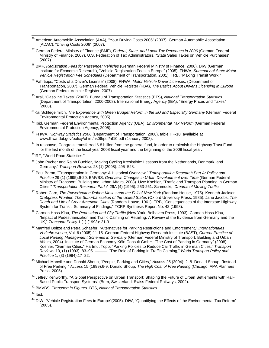- <sup>26</sup> American Automobile Association (AAA), "Your Driving Costs 2006" (2007). German Automobile Association (ADAC), "Driving Costs 2006" (2007).
- 27 German Federal Ministry of Finance (BMF), *Federal, State, and Local Tax Revenues in 2006* (German Federal Ministry of Finance, 2007). U.S. Federation of Tax Administrators, "State Sales Taxes on Vehicle Purchases" (2007).
- 28 BMF, *Registration Fees for Passenger Vehicles* (German Federal Ministry of Finance, 2006). DIW (German Institute for Economic Research), "Vehicle Registration Fees in Europe" (2005). FHWA, *Summary of State Motor Vehicle Registration Fee Schedules* (Department of Transportation, 2001). TRB, "Making Transit Work."
- 29 Fahrtipps, "Costs of a Driver's License" (2008). FHWA, *Motor Vehicle Driver Licenses*, (Department of Transportation, 2007). German Federal Vehicle Register (KBA), *The Basics About Driver's Licensing in Europe* (German Federal Vehicle Register, 2007).
- 30 Aral, "Gasoline Taxes" (2007). Bureau of Transportation Statistics (BTS), *National Transportation Statistics* (Department of Transportation, 2000-2008). International Energy Agency (IEA), "Energy Prices and Taxes" (2008).
- <sup>31</sup>Kai Schlegelmilch, *The Experience with Green Budget Reform in the EU and Especially Germany (German Federal* Environmental Protection Agency, 2005).
- 32 Ibid. German Federal Environmental Protection Agency (UBA), *Environmental Tax Reform* (German Federal Environmental Protection Agency, 2005).
- 33 FHWA, *Highway Statistics 2006* (Department of Transportation, 2008), table HF-10, available at www.fhwa.dot.gov/policy/ohim/hs06/pdf/hf10.pdf (January 2008).
- $34$  In response, Congress transferred \$ 8 billion from the general fund, in order to replenish the Highway Trust Fund for the last month of the fiscal year 2008 fiscal year and the beginning of the 2009 fiscal year.
- <sup>35</sup>IRF, "World Road Statistics."
- <sup>36</sup> John Pucher and Ralph Buehler, "Making Cycling Irresistible: Lessons from the Netherlands, Denmark, and Germany," *Transport Reviews* 28 (1) (2008): 495–528.
- 37 Paul Baron, "Transportation in Germany: A Historical Overview," *Transportation Research Part A: Policy and Practice* 29 (1) (1995):9-20. BMVBS, *Overview: Changes in Urban Development over Time* (German Federal Ministry of Transport, Building and Urban Affairs, 2008). Uwe Koehler, "Traffic and Transport Planning in German Cities," *Transportation Research Part A* 29A (4) (1995): 253-261. Schmucki, *Dreams of Moving Traffic.*
- <sup>37</sup> Robert Caro, *The Powerbroker: Robert Moses and the Fall of New York* (Random House, 1975). Kenneth Jackson, *Crabgrass Frontier. The Suburbanization of the United States* (Oxford University Press, 1985). Jane Jacobs, *The Death and Life of Great American Cities* (Random House, 1961). TRB, "Consequences of the Interstate Highway System for Transit: Summary of Findings," TCRP Synthesis Report No. 42 (1998).
- 38 Carmen Hass-Klau, *The Pedestrian and City Traffic* (New York: Belhaven Press, 1993). Carmen Hass-Klau, "Impact of Pedestrianization and Traffic Calming on Retailing: A Review of the Evidence from Germany and the UK," *Transport Policy* 1 (1) (1993): 21-31.
- 39 Manfred Boltze and Petra Schaefer, "Alternatives for Parking Restrictions and Enforcement," *Internationales Verkehrswesen*, Vol. 6 (2005):11-15. German Federal Highway Research Institute (BAST), *Current Practice of Local Parking Management Schemes in Germany* (German Federal Ministry of Transport, Building and Urban Affairs, 2004). Institute of German Economy Köln Consult GmbH, "The Cost of Parking in Germany" (2008). Koehler, "German Cities." Hartmut Topp, "Parking Policies to Reduce Car Traffic in German Cities," *Transport Reviews* 13, (1) (1993): 83–95. ———. "The Role of Parking in Traffic Calming," *World Transport Policy and Practice* 1, (3) (1994):17–22.
- 40 Michael Manville and Donald Shoup, "People, Parking and Cities," *Access* 25 (2004): 2–8. Donald Shoup, "Instead of Free Parking," *Access* 15 (1999):6-9. Donald Shoup, *The High Cost of Free Parking* (Chicago: APA Planners Press, 2005).
- <sup>41</sup> Jeffrey Kenworthy, "A Global Perspective on Urban Transport: Shaping the Future of Urban Settlements with Rail-Based Public Transport Systems" (Bern, Switzerland: Swiss Federal Railways, 2002).
- 42 BMVBS, *Transport in Figures*. BTS, *National Transportation Statistics*.

44 DIW, "Vehicle Registration Fees in Europe"(2005). DIW, "Quantifying the Effects of the Environmental Tax Reform" (2005).

 $43$  Ibid.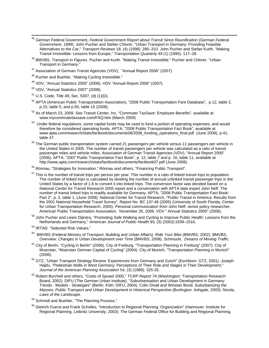- 45 German Federal Government, *Federal Government Report about Transit Since Reunification* (German Federal Government, 1999). John Pucher and Stefan Chlorer, "Urban Transport in Germany: Providing Feasible Alternatives to the Car," *Transport Reviews* 18, (4) (1998): 285–310. John Pucher and Stefan Kurth, "Making Transit Irresistible: Lessons from Europe," *Transportation Quarterly* 49 (1) (1995): 117–28.
- 46 BMVBS, *Transport in Figures*. Pucher and Kurth. "Making Transit Irresistible." Pucher and Chlorer. "Urban Transport in Germany."
- 47 Association of German Transit Agencies (VDV), "Annual Report 2006" (2007).
- 48 Pucher and Buehler. "Making Cycling Irresistible."
- 49 VDV, "Annual Statistics 2005" (2006). VDV "Annual Report 2006" (2007).
- 50 VDV, "Annual Statistics 2007" (2008).
- $51$  U.S. Code, Title 49, Sec. 5307, (d) (1)(D).
- 52 APTA (American Public Transportation Association), "2008 Public Transportation Fare Database", p.12, table 2, p.15, table 5, and p.50, table 15 (2008).
- 53 As of March 23, 2009. See Transit Center, Inc, "Commuter TaxSave: Employee Benefits", available at www.mycommutertaxsave.com/FAQ.htm (March 2009)
- <sup>54</sup> Under federal regulations, some capital funds may be used to fund a portion of operating expenses, and would therefore be considered operating funds. APTA, "2008 Public Transportation Fact Book", available at www.apta.com/research/stats/factbook/documents08/2008\_funding\_operations\_final.pdf (June 2008), p.41, table 47.
- <sup>55</sup> The German public transportation system carried 21 passengers per vehicle versus 11 passengers per vehicle in the United States in 2005. The number of transit passengers per vehicle was calculated as a ratio of transit passenger miles and vehicle miles. Association of German Transit Agencies (VDV), "Annual Report 2005" (2006). APTA, "2007 Public Transportation Fact Book", p. 12, table 7 and p. 16, table 11, available at http://www.apta.com/research/stats/factbook/documents/factbook07.pdf (June 2008).
- <sup>56</sup> Rönnau. "Strategies for Innovation." Rönnau and others, "Financing Public Transport".
- <sup>57</sup> This is the number of transit trips per person per year. This number is a ratio of linked transit trips to population. The number of linked trips is calculated by dividing the number of annual unlinked transit passenger trips in the United States by a factor of 1.6 to convert it into linked trips. The conversion factor was decided based on a National Center for Transit Research 2005 report and a conversation with APTA data expert John Neff. The number of transit linked trips is readily available for Germany. APTA, "2008 Public Transportation Fact Book-Part 2", p. 2, table 1, (June 2008). National Center for Transit Research, "Public Transit in America: Results from the 2001 National Household Travel Survey", Report No. BC 137-48 (2005) (University of South Florida, Center for Urban Transportation Research, 2005). Personal communication from John Neff, senior policy researcher, American Public Transportation Association, November 26, 2006. VDV " Annual Statistics 2005" (2006).
- 58 John Pucher and Lewis Dijkstra, "Promoting Safe Walking and Cycling to Improve Public Health: Lessons from the Netherlands and Germany," *American Journal of Public Health* 93, (3) (2003):1509–1516.
- 59 IRTAD. "Selected Risk Values."
- 60 BMVBS (Federal Ministry of Transport, Building and Urban Affairs). *Ride Your Bike* (BMVBS, 2002). BMVBS, *Overview: Changes in Urban Development over Time* (BMVBS, 2008). Schmucki, *Dreams of Moving Traffic.*
- <sup>61</sup> City of Berlin, "Cycling in Berlin" (2006). City of Freiburg, "Transportation Planning in Freiburg" (2007). City of Muenster, "Muenster German Capital of Cycling" (2004). City of Munich, "Transportation Planning in Munich" (2006).
- $62$  GTZ, "Urban Transport Strategy Review: Experiences from Germany and Zurich" (Eschborn: GTZ, 2001). Joseph Hajdu, "Pedestrian Malls in West Germany: Perceptions of Their Role and Stages in Their Development," *Journal of the American Planning Association* 54, (3) (1989): 325-35.
- 63 Robert Burchell and others, "Costs of Sprawl 2000," *TCRP Report 74* (Washington: Transportation Research Board, 2002). DIFU (The German Urban Institute), "Suburbanisation and Urban Development in Germany: Trends - Models - Strategies" (Berlin, Köln: DIFU, 2004). Colin Divall and Winstan Bond, *Suburbanizing the Masses: Public Transport and Urban Development in Historical Perspective* (Burlington: Ashgate, 2003). Nivola, *Laws of the Landscape*.
- <sup>64</sup> Schmidt and Buehler, "The Planning Process."
- <sup>65</sup> Dietrich Fuerst and Frank Scholles, "Introduction to Regional Planning: Organization" (Hannover: Institute for Regional Planning, Leibnitz University, 2003). The German Federal Office for Building and Regional Planning,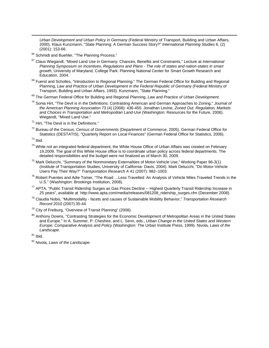*Urban Development and Urban Policy in Germany* (Federal Ministry of Transport, Building and Urban Affairs, 2000). Klaus Kunzmann, "State Planning: A German Success Story?" *International Planning Studies* 6, (2) (2001): 153-66.

<sup>66</sup> Schmidt and Buehler, "The Planning Process."

- 67 Claus Wiegandt, "Mixed Land Use in Germany: Chances, Benefits and Constraints," Lecture at *International Planning Symposium on Incentives, Regulations and Plans - The role of states and nation-states in smart growth*, University of Maryland, College Park: Planning National Center for Smart Growth Research and Education, 2004.
- 68 Fuerst and Scholles, "Introduction to Regional Planning." The German Federal Office for Building and Regional Planning, Law and Practice of Urban Development in the Federal Republic of Germany (Federal Ministry of Transport, Building and Urban Affairs, 1993). Kunzmann, "State Planning."
- 69 The German Federal Office for Building and Regional Planning, *Law and Practice of Urban Development.*
- 70 Sonia Hirt, "The Devil is in the Definitions. Contrasting American and German Approaches to Zoning," *Journal of the American Planning Association* 73 (4) (2008): 436-450. Jonathan Levine, *Zoned Out. Regulation, Markets and Choices in Transportation and Metropolitan Land-Use* (Washington: Resources for the Future, 2006). Wiegandt, "Mixed Land Use."
- $71$  Hirt. "The Devil is in the Definitions."
- 72 Bureau of the Census, *Census of Governments* (Department of Commerce, 2005). German Federal Office for Statistics (DESTATIS), "Quarterly Report on Local Finances" (German Federal Office for Statistics, 2006).

 $73$  Ibid.

 $\overline{a}$ 

- <sup>74</sup> While not an integrated federal department, the White House Office of Urban Affairs was created on February 19,2009. The goal of this White House office is to coordinate urban policy across federal departments. The detailed responsibilities and the budget were not finalized as of March 30, 2009.
- <sup>75</sup> Mark Delucchi, "Summary of the Nonmonetary Externalities of Motor-Vehicle Use," Working Paper 96-3(1) (Institute of Transportation Studies, University of California- Davis, 2004). Mark Delucchi, "Do Motor-Vehicle Users Pay Their Way?" *Transportation Research A* 41 (2007): 982–1003.
- <sup>76</sup> Robert Puentes and Adie Tomer, "The Road ...Less Travelled: An Analysis of Vehicle Miles Traveled Trends in the U.S." (Washington: Brookings Institution, 2008).
- <sup>77</sup> APTA, "Public Transit Ridership Surges as Gas Prices Decline -- Highest Quarterly Transit Ridership Increase in 25 years", available at [http://www.apta.com/media/releases/081208\\_ridership\\_surges.cfm](http://www.apta.com/media/releases/081208_ridership_surges.cfm) (December 2008).
- 78 Claudia Nobis, "Multimodality facets and causes of Sustainable Mobility Behavior," *Transportation Research Record* 2010 (2007):35-44.
- $79$  City of Freiburg, "Overview of Transit Planning" (2008).
- <sup>80</sup> Anthony Downs, "Contrasting Strategies for the Economic Development of Metropolitan Areas in the United States and Europe." In A. Summer, P. Cheshire, and L. Senn, eds., *Urban Change in the United States and Western Europe: Comparative Analysis and Policy* (Washington: The Urban Institute Press, 1999). Nivola, *Laws of the Landscape*.

 $81$  Ibid.

<sup>82</sup> Nivola, *Laws of the Landscape.*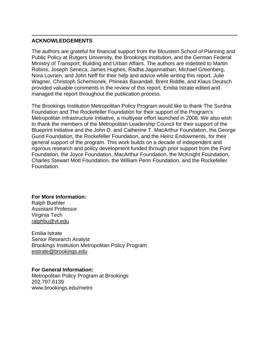#### **ACKNOWLEDGEMENTS**

 $\overline{a}$ 

The authors are grateful for financial support from the Bloustein School of Planning and Public Policy at Rutgers University, the Brookings Institution, and the German Federal Ministry of Transport, Building and Urban Affairs. The authors are indebted to Martin Robins, Joseph Seneca, James Hughes, Radha Jagannathan, Michael Greenberg, Nora Lovrien, and John Neff for their help and advice while writing this report. Julie Wagner, Christoph Schemionek, Phineas Baxandall, Brent Riddle, and Klaus Deutsch provided valuable comments in the review of this report. Emilia Istrate edited and managed the report throughout the publication process.

The Brookings Institution Metropolitan Policy Program would like to thank The Surdna Foundation and The Rockefeller Foundation for their support of the Program's Metropolitan Infrastructure Initiative, a multiyear effort launched in 2008. We also wish to thank the members of the Metropolitan Leadership Council for their support of the Blueprint Initiative and the John D. and Catherine T. MacArthur Foundation, the George Gund Foundation, the Rockefeller Foundation, and the Heinz Endowments, for their general support of the program. This work builds on a decade of independent and rigorous research and policy development funded through prior support from the Ford Foundation, the Joyce Foundation, MacArthur Foundation, the McKnight Foundation, Charles Stewart Mott Foundation, the William Penn Foundation, and the Rockefeller Foundation.

**For More Information:** 

Ralph Buehler Assistant Professor Virginia Tech [ralphbu@vt.edu](mailto:ralphbu@vt.edu)

Emilia Istrate Senior Research Analyst Brookings Institution Metropolitan Policy Program [eistrate@brookings.edu](mailto:eistrate@brookings.edu)

#### **For General Information:**

Metropolitan Policy Program at Brookings 202.797.6139 www.brookings.edu/metro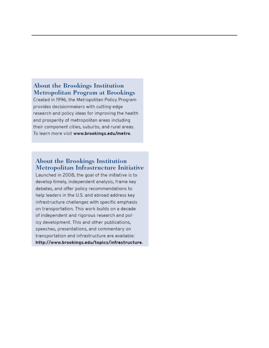#### About the Brookings Institution **Metropolitan Program at Brookings**

Created in 1996, the Metropolitan Policy Program provides decisionmakers with cutting-edge research and policy ideas for improving the health and prosperity of metropolitan areas including their component cities, suburbs, and rural areas. To learn more visit www.brookings.edu/metro.

#### **About the Brookings Institution** Metropolitan Infrastructure Initiative

Launched in 2008, the goal of the initiative is to develop timely, independent analysis, frame key debates, and offer policy recommendations to help leaders in the U.S. and abroad address key infrastructure challenges with specific emphasis on transportation. This work builds on a decade of independent and rigorous research and policy development. This and other publications, speeches, presentations, and commentary on transportation and infrastructure are available: http://www.brookings.edu/topics/infrastructure.